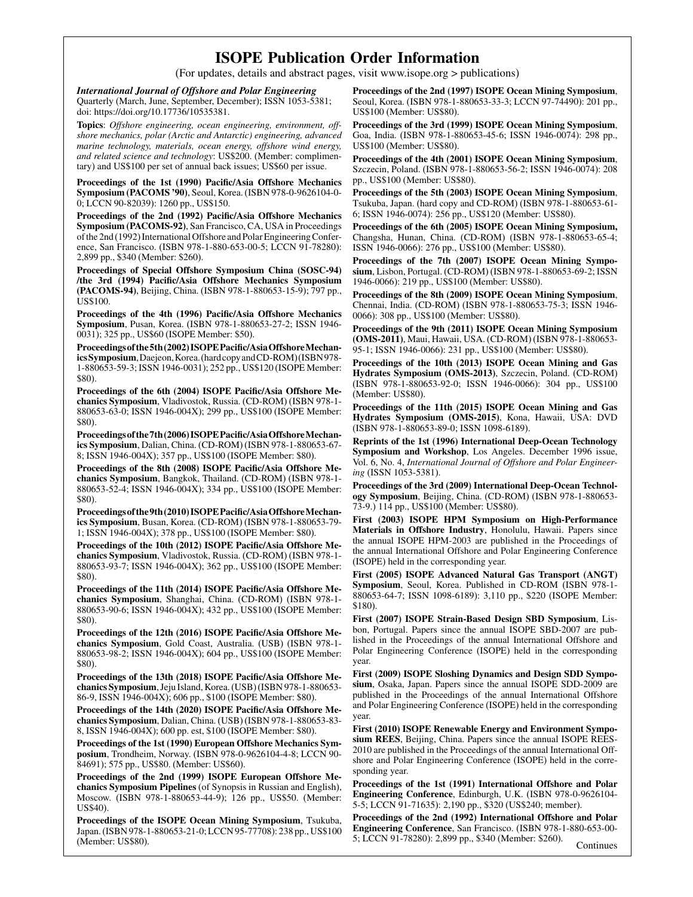## ISOPE Publication Order Information

(For updates, details and abstract pages, visit www.isope.org > publications)

International Journal of Offshore and Polar Engineering Quarterly (March, June, September, December); ISSN 1053-5381; doi: https://doi.org/10.17736/10535381.

Topics: Offshore engineering, ocean engineering, environment, offshore mechanics, polar (Arctic and Antarctic) engineering, advanced marine technology, materials, ocean energy, offshore wind energy, and related science and technology: US\$200. (Member: complimentary) and US\$100 per set of annual back issues; US\$60 per issue.

Proceedings of the 1st (1990) Pacific/Asia Offshore Mechanics Symposium (PACOMS '90), Seoul, Korea. (ISBN 978-0-9626104-0- 0; LCCN 90-82039): 1260 pp., US\$150.

Proceedings of the 2nd (1992) Pacific/Asia Offshore Mechanics Symposium (PACOMS-92), San Francisco, CA, USA in Proceedings of the 2nd (1992) International Offshore and Polar Engineering Conference, San Francisco. (ISBN 978-1-880-653-00-5; LCCN 91-78280): 2,899 pp., \$340 (Member: \$260).

Proceedings of Special Offshore Symposium China (SOSC-94) /the 3rd (1994) Pacific/Asia Offshore Mechanics Symposium (PACOMS-94), Beijing, China. (ISBN 978-1-880653-15-9); 797 pp., US\$100.

Proceedings of the 4th (1996) Pacific/Asia Offshore Mechanics Symposium, Pusan, Korea. (ISBN 978-1-880653-27-2; ISSN 1946- 0031); 325 pp., US\$60 (ISOPE Member: \$50).

Proceedingsofthe5th(2002)ISOPEPacific/AsiaOffshoreMechanicsSymposium,Daejeon,Korea.(hardcopyandCD-ROM)(ISBN978- 1-880653-59-3; ISSN 1946-0031); 252 pp., US\$120 (ISOPE Member: \$80).

Proceedings of the 6th (2004) ISOPE Pacific/Asia Offshore Mechanics Symposium, Vladivostok, Russia. (CD-ROM) (ISBN 978-1- 880653-63-0; ISSN 1946-004X); 299 pp., US\$100 (ISOPE Member: \$80).

Proceedingsofthe7th(2006)ISOPEPacific/AsiaOffshoreMechanics Symposium, Dalian, China. (CD-ROM) (ISBN 978-1-880653-67- 8; ISSN 1946-004X); 357 pp., US\$100 (ISOPE Member: \$80).

Proceedings of the 8th (2008) ISOPE Pacific/Asia Offshore Mechanics Symposium, Bangkok, Thailand. (CD-ROM) (ISBN 978-1- 880653-52-4; ISSN 1946-004X); 334 pp., US\$100 (ISOPE Member: \$80).

Proceedingsofthe9th(2010)ISOPEPacific/AsiaOffshoreMechanics Symposium, Busan, Korea. (CD-ROM) (ISBN 978-1-880653-79- 1; ISSN 1946-004X); 378 pp., US\$100 (ISOPE Member: \$80).

Proceedings of the 10th (2012) ISOPE Pacific/Asia Offshore Mechanics Symposium, Vladivostok, Russia. (CD-ROM) (ISBN 978-1- 880653-93-7; ISSN 1946-004X); 362 pp., US\$100 (ISOPE Member: \$80).

Proceedings of the 11th (2014) ISOPE Pacific/Asia Offshore Mechanics Symposium, Shanghai, China. (CD-ROM) (ISBN 978-1- 880653-90-6; ISSN 1946-004X); 432 pp., US\$100 (ISOPE Member: \$80).

Proceedings of the 12th (2016) ISOPE Pacific/Asia Offshore Mechanics Symposium, Gold Coast, Australia. (USB) (ISBN 978-1- 880653-98-2; ISSN 1946-004X); 604 pp., US\$100 (ISOPE Member: \$80).

Proceedings of the 13th (2018) ISOPE Pacific/Asia Offshore Mechanics Symposium, Jeju Island, Korea. (USB) (ISBN 978-1-880653- 86-9, ISSN 1946-004X); 606 pp., \$100 (ISOPE Member: \$80).

Proceedings of the 14th (2020) ISOPE Pacific/Asia Offshore Mechanics Symposium, Dalian, China. (USB) (ISBN 978-1-880653-83- 8, ISSN 1946-004X); 600 pp. est, \$100 (ISOPE Member: \$80).

Proceedings of the 1st (1990) European Offshore Mechanics Symposium, Trondheim, Norway. (ISBN 978-0-9626104-4-8; LCCN 90- 84691); 575 pp., US\$80. (Member: US\$60).

Proceedings of the 2nd (1999) ISOPE European Offshore Mechanics Symposium Pipelines (of Synopsis in Russian and English), Moscow. (ISBN 978-1-880653-44-9); 126 pp., US\$50. (Member: US\$40).

Proceedings of the ISOPE Ocean Mining Symposium, Tsukuba, Japan. (ISBN 978-1-880653-21-0; LCCN 95-77708): 238 pp., US\$100 (Member: US\$80).

Proceedings of the 2nd (1997) ISOPE Ocean Mining Symposium, Seoul, Korea. (ISBN 978-1-880653-33-3; LCCN 97-74490): 201 pp., US\$100 (Member: US\$80).

Proceedings of the 3rd (1999) ISOPE Ocean Mining Symposium, Goa, India. (ISBN 978-1-880653-45-6; ISSN 1946-0074): 298 pp., US\$100 (Member: US\$80).

Proceedings of the 4th (2001) ISOPE Ocean Mining Symposium, Szczecin, Poland. (ISBN 978-1-880653-56-2; ISSN 1946-0074): 208 pp., US\$100 (Member: US\$80).

Proceedings of the 5th (2003) ISOPE Ocean Mining Symposium, Tsukuba, Japan. (hard copy and CD-ROM) (ISBN 978-1-880653-61- 6; ISSN 1946-0074): 256 pp., US\$120 (Member: US\$80).

Proceedings of the 6th (2005) ISOPE Ocean Mining Symposium, Changsha, Hunan, China. (CD-ROM) (ISBN 978-1-880653-65-4; ISSN 1946-0066): 276 pp., US\$100 (Member: US\$80).

Proceedings of the 7th (2007) ISOPE Ocean Mining Symposium, Lisbon, Portugal. (CD-ROM) (ISBN 978-1-880653-69-2; ISSN 1946-0066): 219 pp., US\$100 (Member: US\$80).

Proceedings of the 8th (2009) ISOPE Ocean Mining Symposium, Chennai, India. (CD-ROM) (ISBN 978-1-880653-75-3; ISSN 1946- 0066): 308 pp., US\$100 (Member: US\$80).

Proceedings of the 9th (2011) ISOPE Ocean Mining Symposium (OMS-2011), Maui, Hawaii, USA. (CD-ROM) (ISBN 978-1-880653- 95-1; ISSN 1946-0066): 231 pp., US\$100 (Member: US\$80).

Proceedings of the 10th (2013) ISOPE Ocean Mining and Gas Hydrates Symposium (OMS-2013), Szczecin, Poland. (CD-ROM) (ISBN 978-1-880653-92-0; ISSN 1946-0066): 304 pp., US\$100 (Member: US\$80).

Proceedings of the 11th (2015) ISOPE Ocean Mining and Gas Hydrates Symposium (OMS-2015), Kona, Hawaii, USA: DVD (ISBN 978-1-880653-89-0; ISSN 1098-6189).

Reprints of the 1st (1996) International Deep-Ocean Technology Symposium and Workshop, Los Angeles. December 1996 issue, Vol. 6, No. 4, International Journal of Offshore and Polar Engineering (ISSN 1053-5381).

Proceedings of the 3rd (2009) International Deep-Ocean Technology Symposium, Beijing, China. (CD-ROM) (ISBN 978-1-880653- 73-9.) 114 pp., US\$100 (Member: US\$80).

First (2003) ISOPE HPM Symposium on High-Performance Materials in Offshore Industry, Honolulu, Hawaii. Papers since the annual ISOPE HPM-2003 are published in the Proceedings of the annual International Offshore and Polar Engineering Conference (ISOPE) held in the corresponding year.

First (2005) ISOPE Advanced Natural Gas Transport (ANGT) Symposium, Seoul, Korea. Published in CD-ROM (ISBN 978-1- 880653-64-7; ISSN 1098-6189): 3,110 pp., \$220 (ISOPE Member: \$180).

First (2007) ISOPE Strain-Based Design SBD Symposium, Lisbon, Portugal. Papers since the annual ISOPE SBD-2007 are published in the Proceedings of the annual International Offshore and Polar Engineering Conference (ISOPE) held in the corresponding year.

First (2009) ISOPE Sloshing Dynamics and Design SDD Symposium, Osaka, Japan. Papers since the annual ISOPE SDD-2009 are published in the Proceedings of the annual International Offshore and Polar Engineering Conference (ISOPE) held in the corresponding year.

First (2010) ISOPE Renewable Energy and Environment Symposium REES, Beijing, China. Papers since the annual ISOPE REES-2010 are published in the Proceedings of the annual International Offshore and Polar Engineering Conference (ISOPE) held in the corresponding year.

Proceedings of the 1st (1991) International Offshore and Polar Engineering Conference, Edinburgh, U.K. (ISBN 978-0-9626104- 5-5; LCCN 91-71635): 2,190 pp., \$320 (US\$240; member).

Proceedings of the 2nd (1992) International Offshore and Polar Engineering Conference, San Francisco. (ISBN 978-1-880-653-00- 5; LCCN 91-78280): 2,899 pp., \$340 (Member: \$260).

**Continues**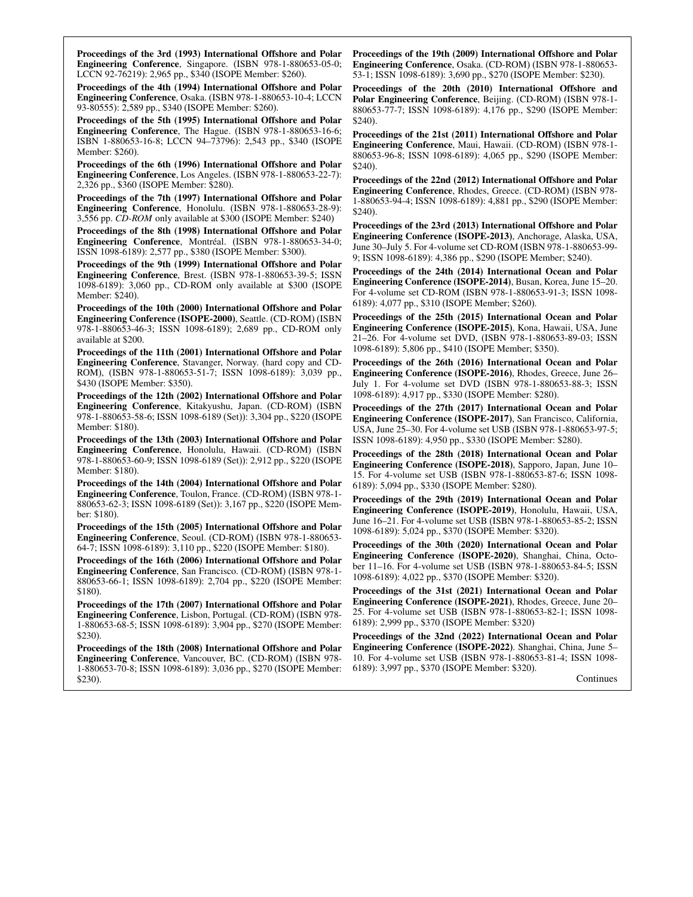Proceedings of the 3rd (1993) International Offshore and Polar Engineering Conference, Singapore. (ISBN 978-1-880653-05-0; LCCN 92-76219): 2,965 pp., \$340 (ISOPE Member: \$260).

Proceedings of the 4th (1994) International Offshore and Polar Engineering Conference, Osaka. (ISBN 978-1-880653-10-4; LCCN 93-80555): 2,589 pp., \$340 (ISOPE Member: \$260).

Proceedings of the 5th (1995) International Offshore and Polar Engineering Conference, The Hague. (ISBN 978-1-880653-16-6; ISBN 1-880653-16-8; LCCN 94–73796): 2,543 pp., \$340 (ISOPE Member: \$260).

Proceedings of the 6th (1996) International Offshore and Polar Engineering Conference, Los Angeles. (ISBN 978-1-880653-22-7): 2,326 pp., \$360 (ISOPE Member: \$280).

Proceedings of the 7th (1997) International Offshore and Polar Engineering Conference, Honolulu. (ISBN 978-1-880653-28-9): 3,556 pp. CD-ROM only available at \$300 (ISOPE Member: \$240)

Proceedings of the 8th (1998) International Offshore and Polar Engineering Conference, Montréal. (ISBN 978-1-880653-34-0; ISSN 1098-6189): 2,577 pp., \$380 (ISOPE Member: \$300).

Proceedings of the 9th (1999) International Offshore and Polar Engineering Conference, Brest. (ISBN 978-1-880653-39-5; ISSN 1098-6189): 3,060 pp., CD-ROM only available at \$300 (ISOPE Member: \$240).

Proceedings of the 10th (2000) International Offshore and Polar Engineering Conference (ISOPE-2000), Seattle. (CD-ROM) (ISBN 978-1-880653-46-3; ISSN 1098-6189); 2,689 pp., CD-ROM only available at \$200.

Proceedings of the 11th (2001) International Offshore and Polar Engineering Conference, Stavanger, Norway. (hard copy and CD-ROM), (ISBN 978-1-880653-51-7; ISSN 1098-6189): 3,039 pp., \$430 (ISOPE Member: \$350).

Proceedings of the 12th (2002) International Offshore and Polar Engineering Conference, Kitakyushu, Japan. (CD-ROM) (ISBN 978-1-880653-58-6; ISSN 1098-6189 (Set)): 3,304 pp., \$220 (ISOPE Member: \$180).

Proceedings of the 13th (2003) International Offshore and Polar Engineering Conference, Honolulu, Hawaii. (CD-ROM) (ISBN 978-1-880653-60-9; ISSN 1098-6189 (Set)): 2,912 pp., \$220 (ISOPE Member: \$180).

Proceedings of the 14th (2004) International Offshore and Polar Engineering Conference, Toulon, France. (CD-ROM) (ISBN 978-1- 880653-62-3; ISSN 1098-6189 (Set)): 3,167 pp., \$220 (ISOPE Member: \$180).

Proceedings of the 15th (2005) International Offshore and Polar Engineering Conference, Seoul. (CD-ROM) (ISBN 978-1-880653- 64-7; ISSN 1098-6189): 3,110 pp., \$220 (ISOPE Member: \$180).

Proceedings of the 16th (2006) International Offshore and Polar Engineering Conference, San Francisco. (CD-ROM) (ISBN 978-1- 880653-66-1; ISSN 1098-6189): 2,704 pp., \$220 (ISOPE Member: \$180).

Proceedings of the 17th (2007) International Offshore and Polar Engineering Conference, Lisbon, Portugal. (CD-ROM) (ISBN 978- 1-880653-68-5; ISSN 1098-6189): 3,904 pp., \$270 (ISOPE Member: \$230).

Proceedings of the 18th (2008) International Offshore and Polar Engineering Conference, Vancouver, BC. (CD-ROM) (ISBN 978- 1-880653-70-8; ISSN 1098-6189): 3,036 pp., \$270 (ISOPE Member: \$230).

Proceedings of the 19th (2009) International Offshore and Polar Engineering Conference, Osaka. (CD-ROM) (ISBN 978-1-880653- 53-1; ISSN 1098-6189): 3,690 pp., \$270 (ISOPE Member: \$230).

Proceedings of the 20th (2010) International Offshore and Polar Engineering Conference, Beijing. (CD-ROM) (ISBN 978-1- 880653-77-7; ISSN 1098-6189): 4,176 pp., \$290 (ISOPE Member: \$240).

Proceedings of the 21st (2011) International Offshore and Polar Engineering Conference, Maui, Hawaii. (CD-ROM) (ISBN 978-1- 880653-96-8; ISSN 1098-6189): 4,065 pp., \$290 (ISOPE Member: \$240).

Proceedings of the 22nd (2012) International Offshore and Polar Engineering Conference, Rhodes, Greece. (CD-ROM) (ISBN 978- 1-880653-94-4; ISSN 1098-6189): 4,881 pp., \$290 (ISOPE Member: \$240).

Proceedings of the 23rd (2013) International Offshore and Polar Engineering Conference (ISOPE-2013), Anchorage, Alaska, USA, June 30–July 5. For 4-volume set CD-ROM (ISBN 978-1-880653-99- 9; ISSN 1098-6189): 4,386 pp., \$290 (ISOPE Member; \$240).

Proceedings of the 24th (2014) International Ocean and Polar Engineering Conference (ISOPE-2014), Busan, Korea, June 15–20. For 4-volume set CD-ROM (ISBN 978-1-880653-91-3; ISSN 1098- 6189): 4,077 pp., \$310 (ISOPE Member; \$260).

Proceedings of the 25th (2015) International Ocean and Polar Engineering Conference (ISOPE-2015), Kona, Hawaii, USA, June 21–26. For 4-volume set DVD, (ISBN 978-1-880653-89-03; ISSN 1098-6189): 5,806 pp., \$410 (ISOPE Member; \$350).

Proceedings of the 26th (2016) International Ocean and Polar Engineering Conference (ISOPE-2016), Rhodes, Greece, June 26– July 1. For 4-volume set DVD (ISBN 978-1-880653-88-3; ISSN 1098-6189): 4,917 pp., \$330 (ISOPE Member: \$280).

Proceedings of the 27th (2017) International Ocean and Polar Engineering Conference (ISOPE-2017), San Francisco, California, USA, June 25–30. For 4-volume set USB (ISBN 978-1-880653-97-5; ISSN 1098-6189): 4,950 pp., \$330 (ISOPE Member: \$280).

Proceedings of the 28th (2018) International Ocean and Polar Engineering Conference (ISOPE-2018), Sapporo, Japan, June 10– 15. For 4-volume set USB (ISBN 978-1-880653-87-6; ISSN 1098- 6189): 5,094 pp., \$330 (ISOPE Member: \$280).

Proceedings of the 29th (2019) International Ocean and Polar Engineering Conference (ISOPE-2019), Honolulu, Hawaii, USA, June 16–21. For 4-volume set USB (ISBN 978-1-880653-85-2; ISSN 1098-6189): 5,024 pp., \$370 (ISOPE Member: \$320).

Proceedings of the 30th (2020) International Ocean and Polar Engineering Conference (ISOPE-2020), Shanghai, China, October 11–16. For 4-volume set USB (ISBN 978-1-880653-84-5; ISSN 1098-6189): 4,022 pp., \$370 (ISOPE Member: \$320).

Proceedings of the 31st (2021) International Ocean and Polar Engineering Conference (ISOPE-2021), Rhodes, Greece, June 20– 25. For 4-volume set USB (ISBN 978-1-880653-82-1; ISSN 1098- 6189): 2,999 pp., \$370 (ISOPE Member: \$320)

Proceedings of the 32nd (2022) International Ocean and Polar Engineering Conference (ISOPE-2022). Shanghai, China, June 5– 10. For 4-volume set USB (ISBN 978-1-880653-81-4; ISSN 1098- 6189): 3,997 pp., \$370 (ISOPE Member: \$320).

**Continues**